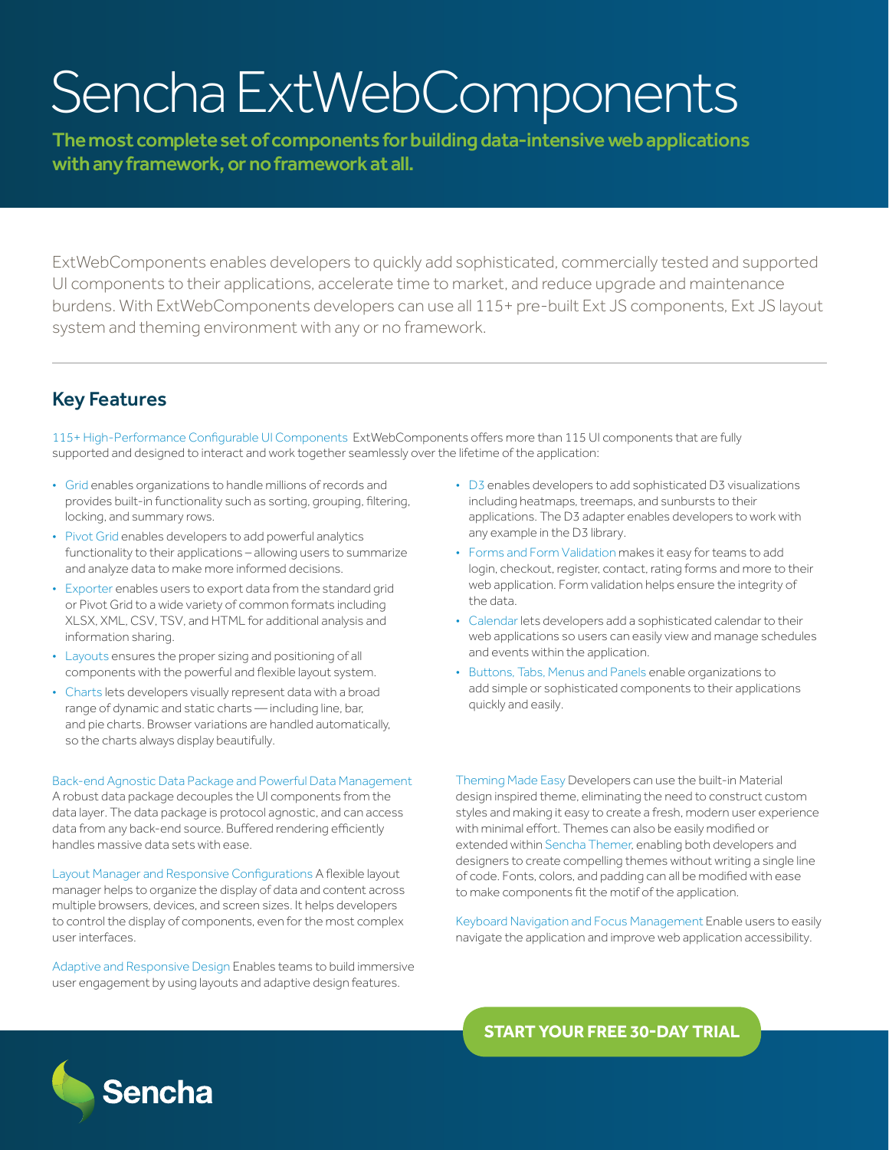# Sencha ExtWebComponents

The most complete set of components for building data-intensive web applications with any framework, or no framework at all.

ExtWebComponents enables developers to quickly add sophisticated, commercially tested and supported UI components to their applications, accelerate time to market, and reduce upgrade and maintenance burdens. With ExtWebComponents developers can use all 115+ pre-built Ext JS components, Ext JS layout system and theming environment with any or no framework.

## Key Features

115+ High-Performance Configurable UI Components ExtWebComponents offers more than 115 UI components that are fully supported and designed to interact and work together seamlessly over the lifetime of the application:

- Grid enables organizations to handle millions of records and provides built-in functionality such as sorting, grouping, filtering, locking, and summary rows.
- Pivot Grid enables developers to add powerful analytics functionality to their applications – allowing users to summarize and analyze data to make more informed decisions.
- Exporter enables users to export data from the standard grid or Pivot Grid to a wide variety of common formats including XLSX, XML, CSV, TSV, and HTML for additional analysis and information sharing.
- Layouts ensures the proper sizing and positioning of all components with the powerful and flexible layout system.
- Charts lets developers visually represent data with a broad range of dynamic and static charts — including line, bar, and pie charts. Browser variations are handled automatically, so the charts always display beautifully.

Back-end Agnostic Data Package and Powerful Data Management A robust data package decouples the UI components from the data layer. The data package is protocol agnostic, and can access data from any back-end source. Buffered rendering efficiently

Layout Manager and Responsive Configurations A flexible layout manager helps to organize the display of data and content across multiple browsers, devices, and screen sizes. It helps developers to control the display of components, even for the most complex user interfaces.

Adaptive and Responsive Design Enables teams to build immersive user engagement by using layouts and adaptive design features.

- D3 enables developers to add sophisticated D3 visualizations including heatmaps, treemaps, and sunbursts to their applications. The D3 adapter enables developers to work with any example in the D3 library.
- Forms and Form Validation makes it easy for teams to add login, checkout, register, contact, rating forms and more to their web application. Form validation helps ensure the integrity of the data.
- Calendar lets developers add a sophisticated calendar to their web applications so users can easily view and manage schedules and events within the application.
- Buttons, Tabs, Menus and Panels enable organizations to add simple or sophisticated components to their applications quickly and easily.

Theming Made Easy Developers can use the built-in Material design inspired theme, eliminating the need to construct custom styles and making it easy to create a fresh, modern user experience with minimal effort. Themes can also be easily modified or extended within Sencha Themer, enabling both developers and designers to create compelling themes without writing a single line of code. Fonts, colors, and padding can all be modified with ease to make components fit the motif of the application.

Keyboard Navigation and Focus Management Enable users to easily navigate the application and improve web application accessibility.

**[START YOUR FREE 30-DAY TRIAL](https:/www.sencha.com/products/extwebcomponents/evaluate/?utm_source=datashet&utm_medium=inaset&utm_campaign=sncextwebcomponents&utm_content=sncextwebcomponents-datasheet)**



handles massive data sets with ease.